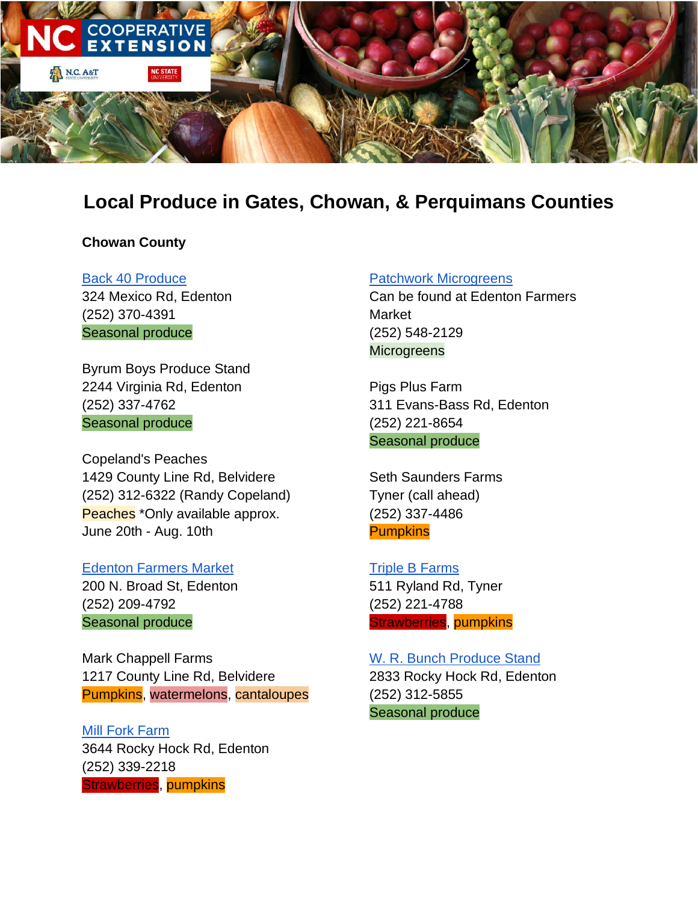

# **Local Produce in Gates, Chowan, & Perquimans Counties**

## **Chowan County**

Back 40 Produce 324 Mexico Rd, Edenton (252) 370-4391 Seasonal produce

Byrum Boys Produce Stand 2244 Virginia Rd, Edenton (252) 337-4762 Seasonal produce

Copeland's Peaches 1429 County Line Rd, Belvidere (252) 312-6322 (Randy Copeland) Peaches<sup>\*</sup>Only available approx. June 20th - Aug. 10th

Edenton Farmers Market 200 N. Broad St, Edenton (252) 209-4792 Seasonal produce

Mark Chappell Farms 1217 County Line Rd, Belvidere Pumpkins, watermelons, cantaloupes

Mill Fork Farm 3644 Rocky Hock Rd, Edenton (252) 339-2218 Strawberries, pumpkins

#### Patchwork Microgreens

Can be found at Edenton Farmers Market (252) 548-2129 **Microgreens** 

Pigs Plus Farm 311 Evans-Bass Rd, Edenton (252) 221-8654 Seasonal produce

Seth Saunders Farms Tyner (call ahead) (252) 337-4486 **Pumpkins** 

Triple B Farms 511 Ryland Rd, Tyner (252) 221-4788 Strawberries, pumpkins

W. R. Bunch Produce Stand 2833 Rocky Hock Rd, Edenton (252) 312-5855 Seasonal produce